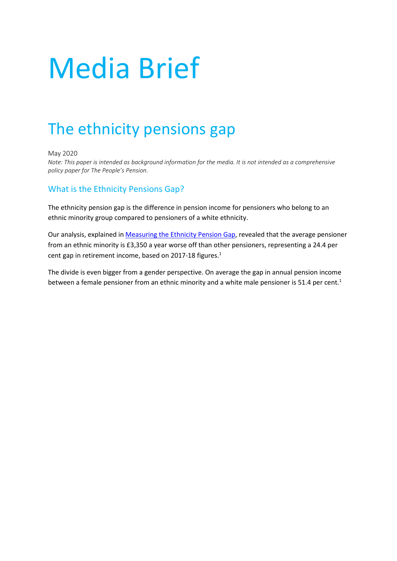# Media Brief

# The ethnicity pensions gap

May 2020

*Note: This paper is intended as background information for the media. It is not intended as a comprehensive policy paper for The People's Pension.*

# What is the Ethnicity Pensions Gap?

The ethnicity pension gap is the difference in pension income for pensioners who belong to an ethnic minority group compared to pensioners of a white ethnicity.

Our analysis, explained in [Measuring the Ethnicity Pension Gap,](https://thepeoplespension.co.uk/info/wp-content/uploads/sites/3/2020/01/Measuring-the-ethnicity-pensions-gap.pdf) revealed that the average pensioner from an ethnic minority is £3,350 a year worse off than other pensioners, representing a 24.4 per cent gap in retirement income, based on 2017-18 figures.<sup>1</sup>

The divide is even bigger from a gender perspective. On average the gap in annual pension income between a female pensioner from an ethnic minority and a white male pensioner is 51.4 per cent.<sup>1</sup>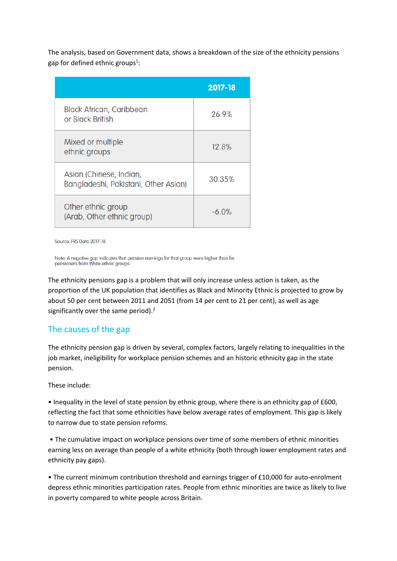The analysis, based on Government data, shows a breakdown of the size of the ethnicity pensions gap for defined ethnic groups<sup>1</sup>:

|                                                                 | 2017-18 |
|-----------------------------------------------------------------|---------|
| <b>Black African, Caribbean</b><br>or Black British             | 26.9%   |
| Mixed or multiple<br>ethnic groups                              | 12.8%   |
| Asian (Chinese, Indian,<br>Bangladeshi, Pakistani, Other Asian) | 30.35%  |
| Other ethnic group<br>(Arab, Other ethnic group)                | $-6.0%$ |

Source: FRS Data 2017-18

Note: A negative gap indicates that pension earnings for that group were higher than for pensioners from White ethnic groups.

The ethnicity pensions gap is a problem that will only increase unless action is taken, as the proportion of the UK population that identifies as Black and Minority Ethnic is projected to grow by about 50 per cent between 2011 and 2051 (from 14 per cent to 21 per cent), as well as age significantly over the same period).<sup>2</sup>

### The causes of the gap

The ethnicity pension gap is driven by several, complex factors, largely relating to inequalities in the job market, ineligibility for workplace pension schemes and an historic ethnicity gap in the state pension.

These include:

• Inequality in the level of state pension by ethnic group, where there is an ethnicity gap of £600, reflecting the fact that some ethnicities have below average rates of employment. This gap is likely to narrow due to state pension reforms.

• The cumulative impact on workplace pensions over time of some members of ethnic minorities earning less on average than people of a white ethnicity (both through lower employment rates and ethnicity pay gaps).

• The current minimum contribution threshold and earnings trigger of £10,000 for auto-enrolment depress ethnic minorities participation rates. People from ethnic minorities are twice as likely to live in poverty compared to white people across Britain.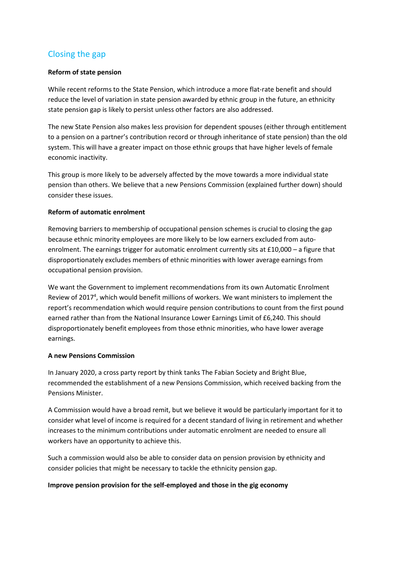# Closing the gap

#### **Reform of state pension**

While recent reforms to the State Pension, which introduce a more flat-rate benefit and should reduce the level of variation in state pension awarded by ethnic group in the future, an ethnicity state pension gap is likely to persist unless other factors are also addressed.

The new State Pension also makes less provision for dependent spouses (either through entitlement to a pension on a partner's contribution record or through inheritance of state pension) than the old system. This will have a greater impact on those ethnic groups that have higher levels of female economic inactivity.

This group is more likely to be adversely affected by the move towards a more individual state pension than others. We believe that a new Pensions Commission (explained further down) should consider these issues.

#### **Reform of automatic enrolment**

Removing barriers to membership of occupational pension schemes is crucial to closing the gap because ethnic minority employees are more likely to be low earners excluded from autoenrolment. The earnings trigger for automatic enrolment currently sits at £10,000 – a figure that disproportionately excludes members of ethnic minorities with lower average earnings from occupational pension provision.

We want the Government to implement recommendations from its own Automatic Enrolment Review of 2017<sup>4</sup>, which would benefit millions of workers. We want ministers to implement the report's recommendation which would require pension contributions to count from the first pound earned rather than from the National Insurance Lower Earnings Limit of £6,240. This should disproportionately benefit employees from those ethnic minorities, who have lower average earnings.

#### **A new Pensions Commission**

In January 2020, a cross party report by think tanks The Fabian Society and Bright Blue, recommended the establishment of a new Pensions Commission, which received backing from the Pensions Minister.

A Commission would have a broad remit, but we believe it would be particularly important for it to consider what level of income is required for a decent standard of living in retirement and whether increases to the minimum contributions under automatic enrolment are needed to ensure all workers have an opportunity to achieve this.

Such a commission would also be able to consider data on pension provision by ethnicity and consider policies that might be necessary to tackle the ethnicity pension gap.

#### **Improve pension provision for the self-employed and those in the gig economy**